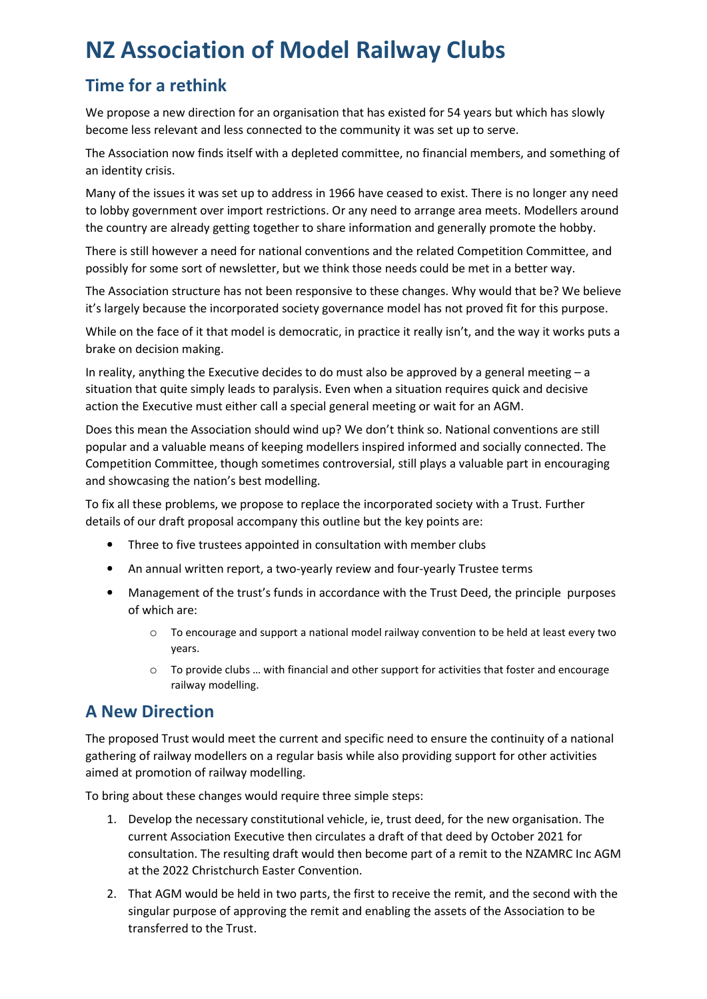# **NZ Association of Model Railway Clubs**

# **Time for a rethink**

We propose a new direction for an organisation that has existed for 54 years but which has slowly become less relevant and less connected to the community it was set up to serve.

The Association now finds itself with a depleted committee, no financial members, and something of an identity crisis.

Many of the issues it was set up to address in 1966 have ceased to exist. There is no longer any need to lobby government over import restrictions. Or any need to arrange area meets. Modellers around the country are already getting together to share information and generally promote the hobby.

There is still however a need for national conventions and the related Competition Committee, and possibly for some sort of newsletter, but we think those needs could be met in a better way.

The Association structure has not been responsive to these changes. Why would that be? We believe it's largely because the incorporated society governance model has not proved fit for this purpose.

While on the face of it that model is democratic, in practice it really isn't, and the way it works puts a brake on decision making.

In reality, anything the Executive decides to do must also be approved by a general meeting – a situation that quite simply leads to paralysis. Even when a situation requires quick and decisive action the Executive must either call a special general meeting or wait for an AGM.

Does this mean the Association should wind up? We don't think so. National conventions are still popular and a valuable means of keeping modellers inspired informed and socially connected. The Competition Committee, though sometimes controversial, still plays a valuable part in encouraging and showcasing the nation's best modelling.

To fix all these problems, we propose to replace the incorporated society with a Trust. Further details of our draft proposal accompany this outline but the key points are:

- Three to five trustees appointed in consultation with member clubs
- An annual written report, a two-yearly review and four-yearly Trustee terms
- Management of the trust's funds in accordance with the Trust Deed, the principle purposes of which are:
	- o To encourage and support a national model railway convention to be held at least every two years.
	- o To provide clubs … with financial and other support for activities that foster and encourage railway modelling.

### **A New Direction**

The proposed Trust would meet the current and specific need to ensure the continuity of a national gathering of railway modellers on a regular basis while also providing support for other activities aimed at promotion of railway modelling.

To bring about these changes would require three simple steps:

- 1. Develop the necessary constitutional vehicle, ie, trust deed, for the new organisation. The current Association Executive then circulates a draft of that deed by October 2021 for consultation. The resulting draft would then become part of a remit to the NZAMRC Inc AGM at the 2022 Christchurch Easter Convention.
- 2. That AGM would be held in two parts, the first to receive the remit, and the second with the singular purpose of approving the remit and enabling the assets of the Association to be transferred to the Trust.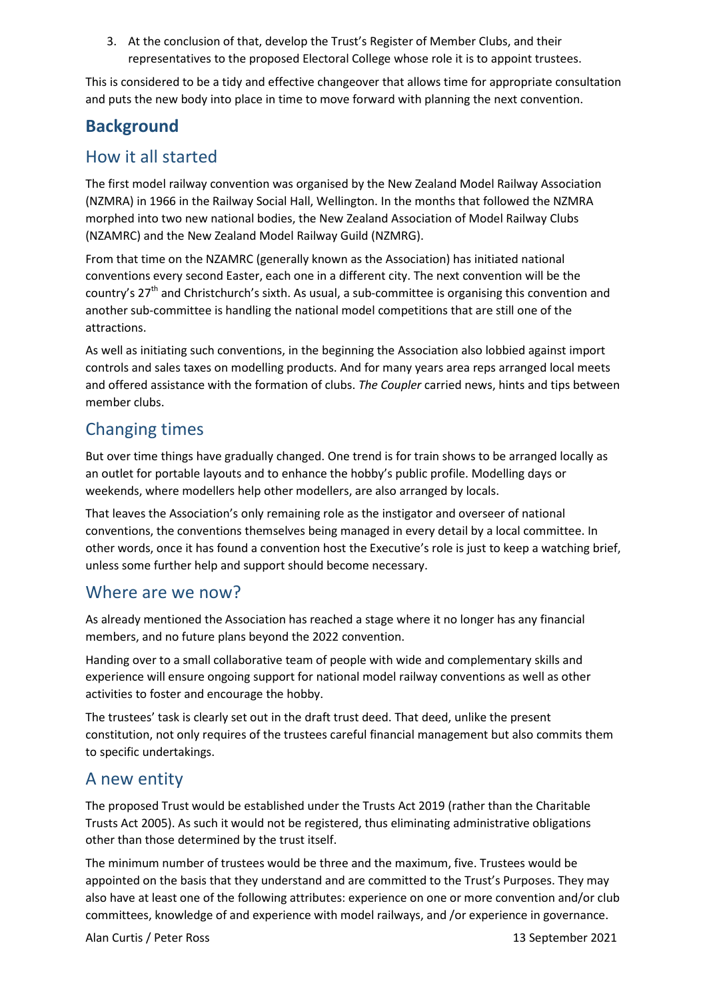3. At the conclusion of that, develop the Trust's Register of Member Clubs, and their representatives to the proposed Electoral College whose role it is to appoint trustees.

This is considered to be a tidy and effective changeover that allows time for appropriate consultation and puts the new body into place in time to move forward with planning the next convention.

# **Background**

### How it all started

The first model railway convention was organised by the New Zealand Model Railway Association (NZMRA) in 1966 in the Railway Social Hall, Wellington. In the months that followed the NZMRA morphed into two new national bodies, the New Zealand Association of Model Railway Clubs (NZAMRC) and the New Zealand Model Railway Guild (NZMRG).

From that time on the NZAMRC (generally known as the Association) has initiated national conventions every second Easter, each one in a different city. The next convention will be the country's  $27<sup>th</sup>$  and Christchurch's sixth. As usual, a sub-committee is organising this convention and another sub-committee is handling the national model competitions that are still one of the attractions.

As well as initiating such conventions, in the beginning the Association also lobbied against import controls and sales taxes on modelling products. And for many years area reps arranged local meets and offered assistance with the formation of clubs. *The Coupler* carried news, hints and tips between member clubs.

# Changing times

But over time things have gradually changed. One trend is for train shows to be arranged locally as an outlet for portable layouts and to enhance the hobby's public profile. Modelling days or weekends, where modellers help other modellers, are also arranged by locals.

That leaves the Association's only remaining role as the instigator and overseer of national conventions, the conventions themselves being managed in every detail by a local committee. In other words, once it has found a convention host the Executive's role is just to keep a watching brief, unless some further help and support should become necessary.

### Where are we now?

As already mentioned the Association has reached a stage where it no longer has any financial members, and no future plans beyond the 2022 convention.

Handing over to a small collaborative team of people with wide and complementary skills and experience will ensure ongoing support for national model railway conventions as well as other activities to foster and encourage the hobby.

The trustees' task is clearly set out in the draft trust deed. That deed, unlike the present constitution, not only requires of the trustees careful financial management but also commits them to specific undertakings.

### A new entity

The proposed Trust would be established under the Trusts Act 2019 (rather than the Charitable Trusts Act 2005). As such it would not be registered, thus eliminating administrative obligations other than those determined by the trust itself.

The minimum number of trustees would be three and the maximum, five. Trustees would be appointed on the basis that they understand and are committed to the Trust's Purposes. They may also have at least one of the following attributes: experience on one or more convention and/or club committees, knowledge of and experience with model railways, and /or experience in governance.

Alan Curtis / Peter Ross 13 September 2021